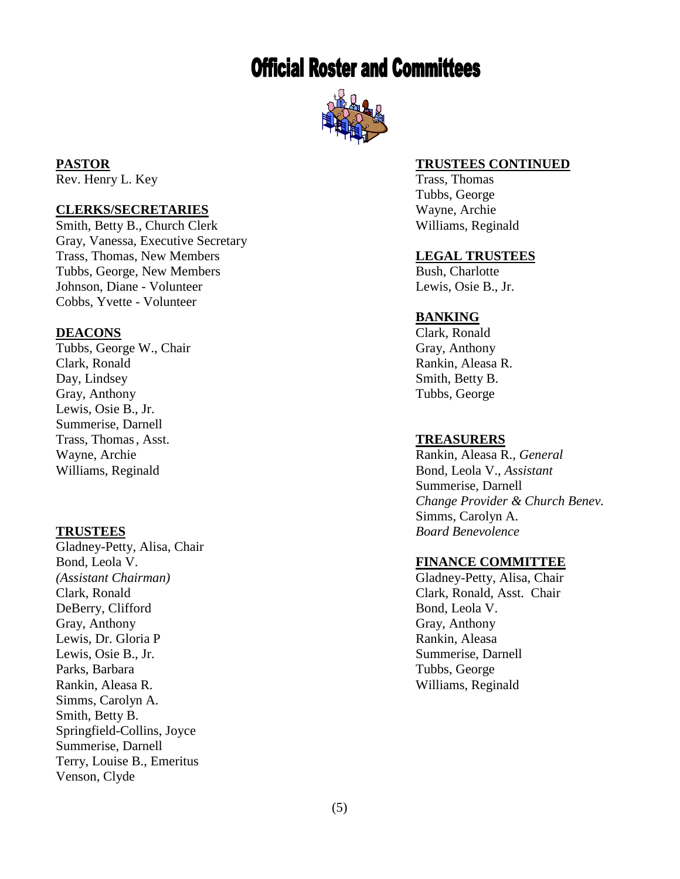# **Official Roster and Committees**



Rev. Henry L. Key Trass, Thomas

# **CLERKS/SECRETARIES** Wayne, Archie

Smith, Betty B., Church Clerk Williams, Reginald Gray, Vanessa, Executive Secretary Trass, Thomas, New Members **LEGAL TRUSTEES** Tubbs, George, New Members Bush, Charlotte Johnson, Diane Cobbs, Yvette - Volunteer

Tubbs, George W., Chair Gray, Anthony Clark, Ronald Rankin, Aleasa R. Day, Lindsey Smith, Betty B. Gray, Anthony Tubbs, George Lewis, Osie B., Jr. Summerise, Darnell Trass, Thomas, Asst. **TREASURERS**

Gladney -Petty, Alisa, Chair Bond, Leola V. **FINANCE COMMITTEE** *(Assistant Chairman* Clark, Ronald Clark, Ronald, Asst. Chair DeBerry, Clifford Bond, Leola V. Gray, Anthony Gray, Anthony Lewis, Dr. Gloria P **Rankin, Aleasa** Lewis, Osie B., Jr. Summerise, Darnell Parks, Barbara Tubbs, George Rankin, Aleasa R. Williams, Reginald Simms, Carolyn A. Smith, Betty B. Springfield -Collins, Joyce Summerise, Darnell Terry, Louise B., Emeritus Venson, Clyde

### **PASTOR TRUSTEES CONTINUED**

Tubbs, George

Lewis, Osie B., Jr.

### **BANKING**

**DEACONS** Clark, Ronald

Wayne, Archie Rankin, Aleasa R., *General* Williams, Reginald Bond, Leola V., *Assistant* Summerise, Darnell *Change Provider & Church Benev.* Simms, Carolyn A. **TRUSTEES** *Board Benevolence*

*)* Gladney -Petty, Alisa, Chair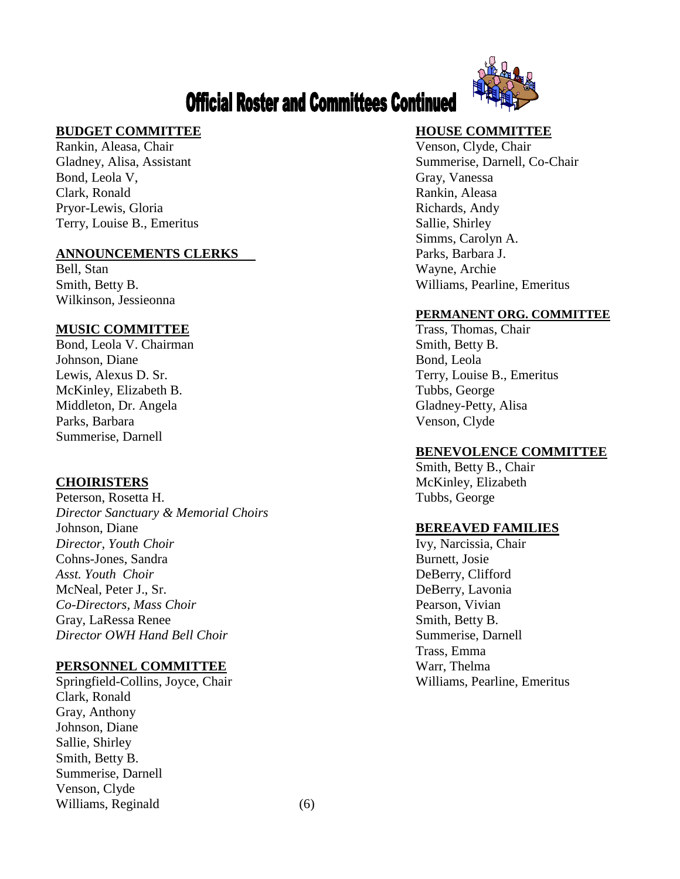# **Official Roster and Committees Continued**



# **BUDGET COMMITTEE HOUSE COMMITTEE**

Rankin, Aleasa, Chair Venson, Clyde, Chair Bond, Leola V, Gray, Vanessa Clark, Ronald Rankin, Aleasa Pryor-Lewis, Gloria **Richards**, Andy Terry, Louise B., Emeritus Sallie, Shirley

### **ANNOUNCEMENTS CLERKS** Parks, Barbara J.

Bell, Stan Wayne, Archie Wilkinson, Jessieonna

# **MUSIC COMMITTEE** Trass, Thomas, Chair

Bond, Leola V. Chairman Smith, Betty B. Johnson, Diane Bond, Leola McKinley, Elizabeth B. Tubbs, George Middleton, Dr. Angela Gladney-Petty, Alisa Parks, Barbara Venson, Clyde Summerise, Darnell

Peterson, Rosetta H. Tubbs, George *Director Sanctuary & Memorial Choirs* Johnson, Diane **BEREAVED FAMILIES** *Director, Youth Choir* Ivy, Narcissia, Chair Cohns-Jones, Sandra Burnett, Josie *Asst. Youth Choir* DeBerry, Clifford McNeal, Peter J., Sr. DeBerry, Lavonia *Co-Directors, Mass Choir* Pearson, Vivian Gray, LaRessa Renee Smith, Betty B. *Director OWH Hand Bell Choir* Summerise, Darnell

### **PERSONNEL COMMITTEE** Warr, Thelma

Springfield-Collins, Joyce, Chair Williams, Pearline, Emeritus Clark, Ronald Gray, Anthony Johnson, Diane Sallie, Shirley Smith, Betty B. Summerise, Darnell Venson, Clyde Williams, Reginald (6)

Gladney, Alisa, Assistant Summerise, Darnell, Co-Chair Simms, Carolyn A. Smith, Betty B. Williams, Pearline, Emeritus

### **PERMANENT ORG. COMMITTEE**

Lewis, Alexus D. Sr. Terry, Louise B., Emeritus

### **BENEVOLENCE COMMITTEE**

Smith, Betty B., Chair **CHOIRISTERS** McKinley, Elizabeth

Trass, Emma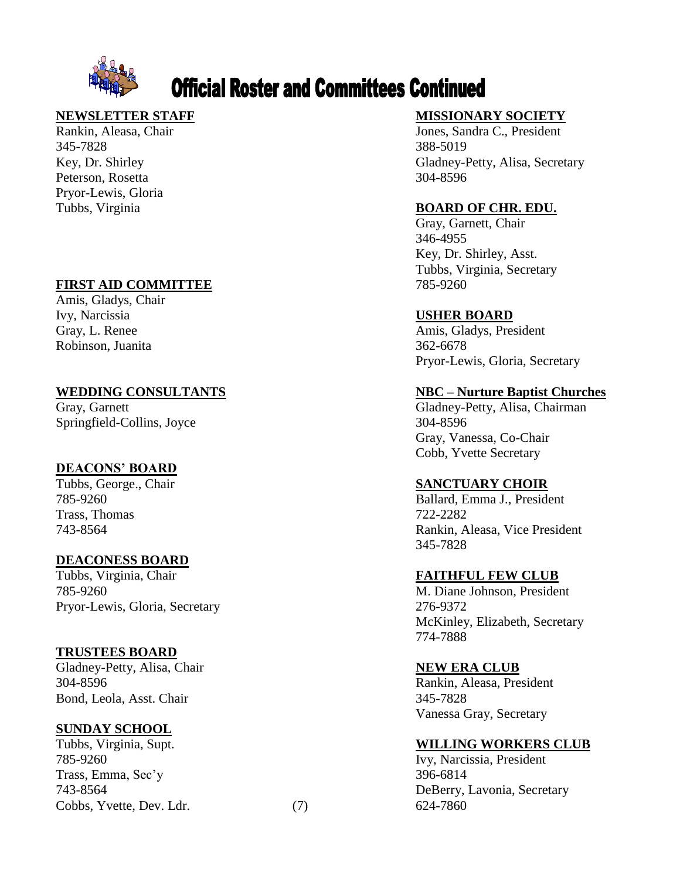

# **Official Roster and Committees Continued**

345-7828 -7828 388 Key, Dr. Shirley Peterson, Rosetta Pryor -Lewis, Gloria

# **FIRST AID COMMITTEE**

Amis, Gladys, Chair Ivy, Narcissia **USHER BOARD** Robinson, Juanita

# **WEDDING CONSULTANTS**

Gray, Garnett Springfield-Collins, Joyce 304

# **DEACONS' BOARD**

785-9260 Trass, Thomas 743-8564

### **DEACONESS BOARD**

Tubbs, Virginia, Chair **FAITHFUL FEW CLUB** 785-9260 Pryor -Lewis, Gloria, Secretary 276

# **TRUSTEES BOARD**

Gladney-Petty, Alisa, Chair **NEW ERA CLUB** 304-8596 Bond, Leola, Asst. Chair 345

# **SUNDAY SCHOOL**

Tubbs, Virginia, Supt. **WILLING WORKERS CLUB** 785-9260 Trass, Emma, Sec'y 396 743-8564 Cobbs, Yvette, Dev. Ldr. (7)

# **NEWSLETTER STAFF MISSIONARY SOCIETY**

Rankin, Aleasa, Chair Jones, Sandra C., President 388-5019 Gladney-Petty, Alisa, Secretary 304-8596

# Tubbs, Virginia **BOARD OF CHR. EDU.**

Gray, Garnett, Chair 346 -4955 Key, Dr. Shirley, Asst. Tubbs, Virginia, Secretary 785-9260

Gray, L. Renee Amis, Gladys, President 362-6678 Pryor -Lewis, Gloria, Secretary

# **– Nurture Baptist Churches**

Gladney-Petty, Alisa, Chairman 304-8596 Gray, Vanessa, Co -Chair Cobb, Yvette Secretary

# Tubbs, George., Chair **SANCTUARY CHOIR**

Ballard, Emma J., President 722-2282 Rankin, Aleasa, Vice President 345 -7828

M. Diane Johnson, President 276-9372 McKinley, Elizabeth, Secretary 774 -7888

Rankin, Aleasa, President 345-7828 Vanessa Gray, Secretary

Ivy, Narcissia, President 396-6814 DeBerry, Lavonia, Secretary 624-7860